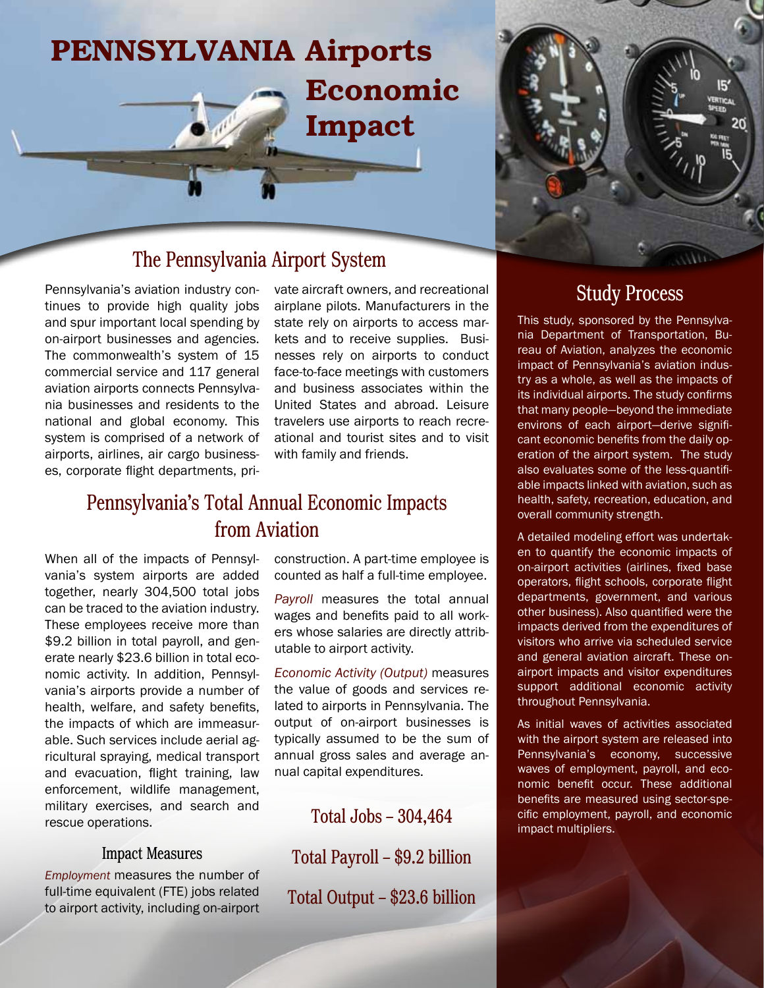

## The Pennsylvania Airport System

Pennsylvania's aviation industry continues to provide high quality jobs and spur important local spending by on-airport businesses and agencies. The commonwealth's system of 15 commercial service and 117 general aviation airports connects Pennsylvania businesses and residents to the national and global economy. This system is comprised of a network of airports, airlines, air cargo businesses, corporate flight departments, private aircraft owners, and recreational airplane pilots. Manufacturers in the state rely on airports to access markets and to receive supplies. Businesses rely on airports to conduct face-to-face meetings with customers and business associates within the United States and abroad. Leisure travelers use airports to reach recreational and tourist sites and to visit with family and friends.

### Pennsylvania's Total Annual Economic Impacts from Aviation

When all of the impacts of Pennsylvania's system airports are added together, nearly 304,500 total jobs can be traced to the aviation industry. These employees receive more than \$9.2 billion in total payroll, and generate nearly \$23.6 billion in total economic activity. In addition, Pennsylvania's airports provide a number of health, welfare, and safety benefits, the impacts of which are immeasurable. Such services include aerial agricultural spraying, medical transport and evacuation, flight training, law enforcement, wildlife management, military exercises, and search and rescue operations.

#### Impact Measures

*Employment* measures the number of full-time equivalent (FTE) jobs related to airport activity, including on-airport construction. A part-time employee is counted as half a full-time employee.

*Payroll* measures the total annual wages and benefits paid to all workers whose salaries are directly attributable to airport activity.

*Economic Activity (Output)* measures the value of goods and services related to airports in Pennsylvania. The output of on-airport businesses is typically assumed to be the sum of annual gross sales and average annual capital expenditures.

Total Jobs – 304,464

Total Payroll – \$9.2 billion Total Output – \$23.6 billion



15

This study, sponsored by the Pennsylvania Department of Transportation, Bureau of Aviation, analyzes the economic impact of Pennsylvania's aviation industry as a whole, as well as the impacts of its individual airports. The study confirms that many people—beyond the immediate environs of each airport—derive significant economic benefits from the daily operation of the airport system. The study also evaluates some of the less-quantifiable impacts linked with aviation, such as health, safety, recreation, education, and overall community strength.

A detailed modeling effort was undertaken to quantify the economic impacts of on-airport activities (airlines, fixed base operators, flight schools, corporate flight departments, government, and various other business). Also quantified were the impacts derived from the expenditures of visitors who arrive via scheduled service and general aviation aircraft. These onairport impacts and visitor expenditures support additional economic activity throughout Pennsylvania.

As initial waves of activities associated with the airport system are released into Pennsylvania's economy, successive waves of employment, payroll, and economic benefit occur. These additional benefits are measured using sector-specific employment, payroll, and economic impact multipliers.